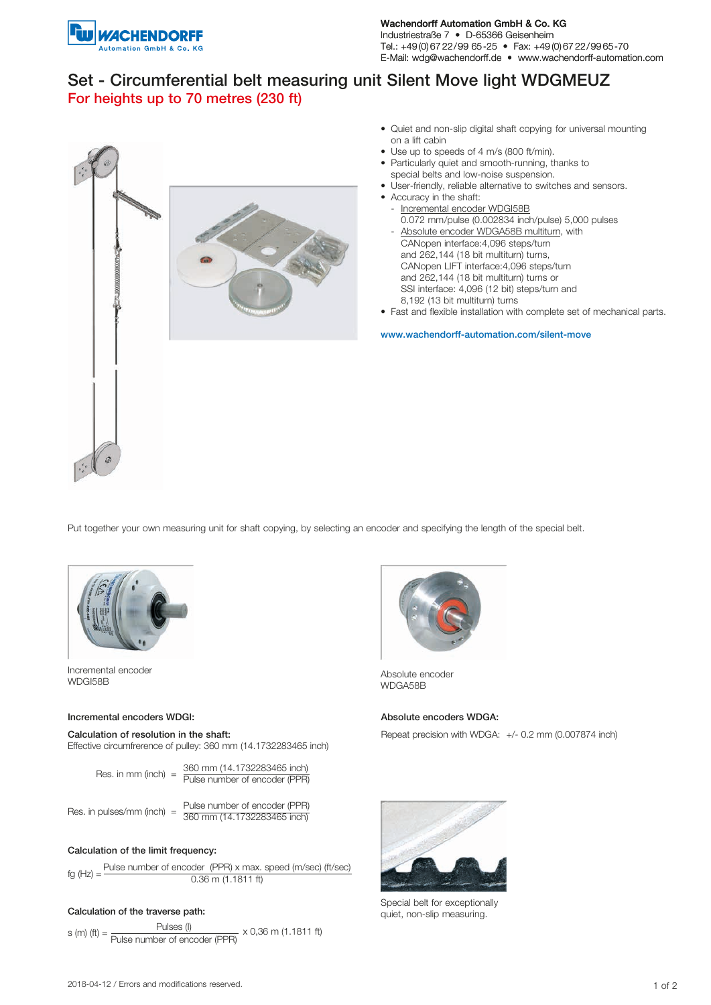

Wachendorff Automation GmbH & Co. KG Industriestraße 7 • D-65366 Geisenheim Tel.: +49 (0) 67 22/99 65-25 • Fax: +49 (0) 67 22/99 65-70 E-Mail: wdg@wachendorff.de • www.wachendorff-automation.com

# Set - Circumferential belt measuring unit Silent Move light WDGMEUZ For heights up to 70 metres (230 ft)



- Quiet and non-slip digital shaft copying for universal mounting on a lift cabin
- Use up to speeds of 4 m/s (800 ft/min).
- Particularly quiet and smooth-running, thanks to special belts and low-noise suspension.
- User-friendly, reliable alternative to switches and sensors.
- Accuracy in the shaft:
	- Incremental encoder WDGI58B 0.072 mm/pulse (0.002834 inch/pulse) 5,000 pulses
- Absolute encoder WDGA58B multiturn, with CANopen interface:4,096 steps/turn and 262,144 (18 bit multiturn) turns, CANopen LIFT interface:4,096 steps/turn and 262,144 (18 bit multiturn) turns or SSI interface: 4,096 (12 bit) steps/turn and 8,192 (13 bit multiturn) turns
- Fast and flexible installation with complete set of mechanical parts.

www.wachendorff-automation.com/silent-move

Put together your own measuring unit for shaft copying, by selecting an encoder and specifying the length of the special belt.



Incremental encoder incremental encoder<br>WDGI58B Absolute encoder<br>WDGI58B

## Incremental encoders WDGI: Absolute encoders WDGA:

Effective circumfrerence of pulley: 360 mm (14.1732283465 inch)

| Res. in mm (inch) $=$ | 360 mm (14.1732283465 inch)   |
|-----------------------|-------------------------------|
|                       | Pulse number of encoder (PPR) |
|                       |                               |

| Res. in pulses/mm (inch) $=$ |  | Pulse number of encoder (PPR) |
|------------------------------|--|-------------------------------|
|                              |  | 360 mm (14.1732283465 inch)   |

### Calculation of the limit frequency:

fg (Hz) =  $\frac{\text{Pulse number of encoder (PPR) x max. speed (m/sec)}{(t/sec)}}$ 0.36 m (1.1811 ft)

### Calculation of the traverse path:

s (m) (ft) =  $\frac{\text{Pulses (I)}}{\text{Poisson (I)}}$ <u>Pulse number of encoder (PPR)</u> x 0,36 m (1.1811 ft)



WDGA58B

Calculation of resolution in the shaft: Repeat precision with WDGA: +/- 0.2 mm (0.007874 inch)



Special belt for exceptionally quiet, non-slip measuring.